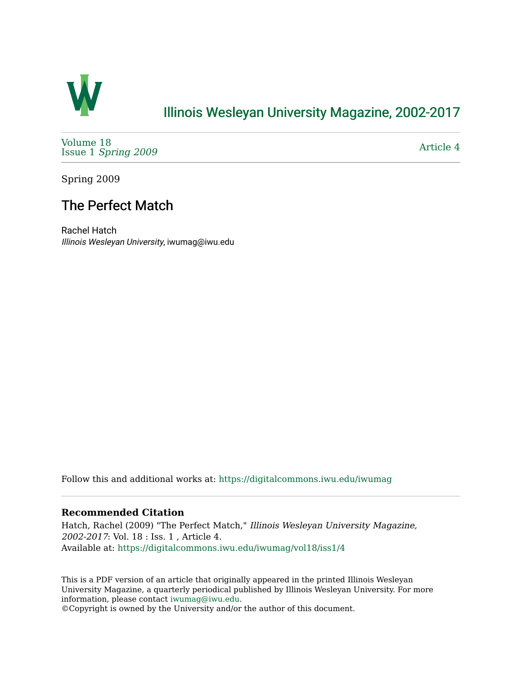

# [Illinois Wesleyan University Magazine, 2002-2017](https://digitalcommons.iwu.edu/iwumag)

[Volume 18](https://digitalcommons.iwu.edu/iwumag/vol18)  Issue 1 [Spring 2009](https://digitalcommons.iwu.edu/iwumag/vol18/iss1)

[Article 4](https://digitalcommons.iwu.edu/iwumag/vol18/iss1/4) 

Spring 2009

# The Perfect Match

Rachel Hatch Illinois Wesleyan University, iwumag@iwu.edu

Follow this and additional works at: [https://digitalcommons.iwu.edu/iwumag](https://digitalcommons.iwu.edu/iwumag?utm_source=digitalcommons.iwu.edu%2Fiwumag%2Fvol18%2Fiss1%2F4&utm_medium=PDF&utm_campaign=PDFCoverPages) 

# **Recommended Citation**

Hatch, Rachel (2009) "The Perfect Match," Illinois Wesleyan University Magazine, 2002-2017: Vol. 18 : Iss. 1 , Article 4. Available at: [https://digitalcommons.iwu.edu/iwumag/vol18/iss1/4](https://digitalcommons.iwu.edu/iwumag/vol18/iss1/4?utm_source=digitalcommons.iwu.edu%2Fiwumag%2Fvol18%2Fiss1%2F4&utm_medium=PDF&utm_campaign=PDFCoverPages)

This is a PDF version of an article that originally appeared in the printed Illinois Wesleyan University Magazine, a quarterly periodical published by Illinois Wesleyan University. For more information, please contact [iwumag@iwu.edu](mailto:iwumag@iwu.edu).

©Copyright is owned by the University and/or the author of this document.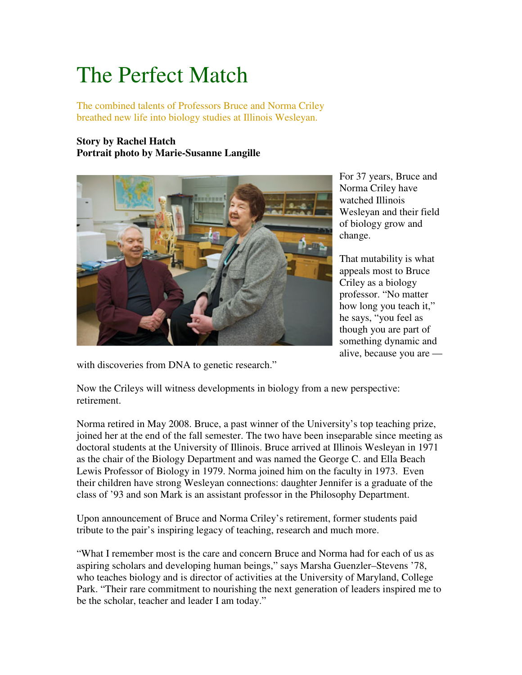# The Perfect Match

The combined talents of Professors Bruce and Norma Criley breathed new life into biology studies at Illinois Wesleyan.

# **Story by Rachel Hatch Portrait photo by Marie-Susanne Langille**



For 37 years, Bruce and Norma Criley have watched Illinois Wesleyan and their field of biology grow and change.

That mutability is what appeals most to Bruce Criley as a biology professor. "No matter how long you teach it," he says, "you feel as though you are part of something dynamic and alive, because you are —

with discoveries from DNA to genetic research."

Now the Crileys will witness developments in biology from a new perspective: retirement.

Norma retired in May 2008. Bruce, a past winner of the University's top teaching prize, joined her at the end of the fall semester. The two have been inseparable since meeting as doctoral students at the University of Illinois. Bruce arrived at Illinois Wesleyan in 1971 as the chair of the Biology Department and was named the George C. and Ella Beach Lewis Professor of Biology in 1979. Norma joined him on the faculty in 1973. Even their children have strong Wesleyan connections: daughter Jennifer is a graduate of the class of '93 and son Mark is an assistant professor in the Philosophy Department.

Upon announcement of Bruce and Norma Criley's retirement, former students paid tribute to the pair's inspiring legacy of teaching, research and much more.

"What I remember most is the care and concern Bruce and Norma had for each of us as aspiring scholars and developing human beings," says Marsha Guenzler–Stevens '78, who teaches biology and is director of activities at the University of Maryland, College Park. "Their rare commitment to nourishing the next generation of leaders inspired me to be the scholar, teacher and leader I am today."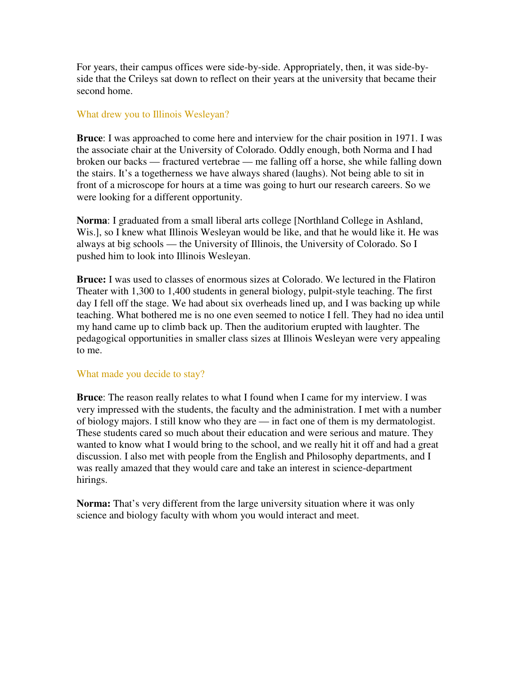For years, their campus offices were side-by-side. Appropriately, then, it was side-byside that the Crileys sat down to reflect on their years at the university that became their second home.

## What drew you to Illinois Wesleyan?

**Bruce**: I was approached to come here and interview for the chair position in 1971. I was the associate chair at the University of Colorado. Oddly enough, both Norma and I had broken our backs — fractured vertebrae — me falling off a horse, she while falling down the stairs. It's a togetherness we have always shared (laughs). Not being able to sit in front of a microscope for hours at a time was going to hurt our research careers. So we were looking for a different opportunity.

**Norma**: I graduated from a small liberal arts college [Northland College in Ashland, Wis.], so I knew what Illinois Wesleyan would be like, and that he would like it. He was always at big schools — the University of Illinois, the University of Colorado. So I pushed him to look into Illinois Wesleyan.

**Bruce:** I was used to classes of enormous sizes at Colorado. We lectured in the Flatiron Theater with 1,300 to 1,400 students in general biology, pulpit-style teaching. The first day I fell off the stage. We had about six overheads lined up, and I was backing up while teaching. What bothered me is no one even seemed to notice I fell. They had no idea until my hand came up to climb back up. Then the auditorium erupted with laughter. The pedagogical opportunities in smaller class sizes at Illinois Wesleyan were very appealing to me.

#### What made you decide to stay?

**Bruce**: The reason really relates to what I found when I came for my interview. I was very impressed with the students, the faculty and the administration. I met with a number of biology majors. I still know who they are — in fact one of them is my dermatologist. These students cared so much about their education and were serious and mature. They wanted to know what I would bring to the school, and we really hit it off and had a great discussion. I also met with people from the English and Philosophy departments, and I was really amazed that they would care and take an interest in science-department hirings.

**Norma:** That's very different from the large university situation where it was only science and biology faculty with whom you would interact and meet.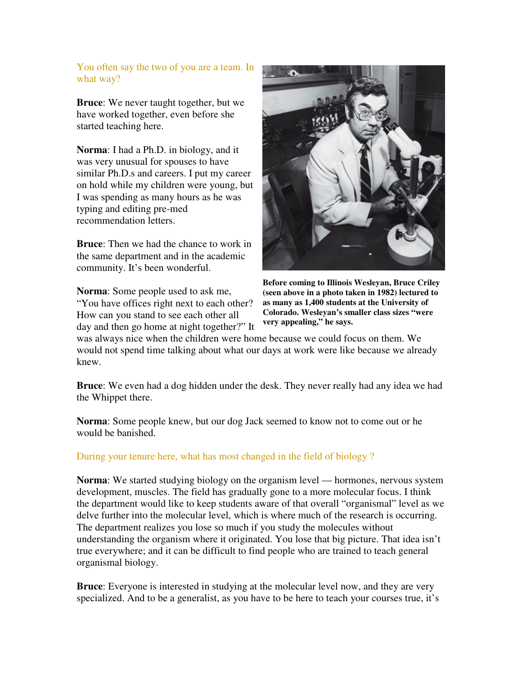# You often say the two of you are a team. In what way?

**Bruce**: We never taught together, but we have worked together, even before she started teaching here.

**Norma**: I had a Ph.D. in biology, and it was very unusual for spouses to have similar Ph.D.s and careers. I put my career on hold while my children were young, but I was spending as many hours as he was typing and editing pre-med recommendation letters.

**Bruce**: Then we had the chance to work in the same department and in the academic community. It's been wonderful.

**Norma**: Some people used to ask me, "You have offices right next to each other? How can you stand to see each other all day and then go home at night together?" It



**Before coming to Illinois Wesleyan, Bruce Criley (seen above in a photo taken in 1982) lectured to as many as 1,400 students at the University of Colorado. Wesleyan's smaller class sizes "were very appealing," he says.**

was always nice when the children were home because we could focus on them. We would not spend time talking about what our days at work were like because we already knew.

**Bruce**: We even had a dog hidden under the desk. They never really had any idea we had the Whippet there.

**Norma**: Some people knew, but our dog Jack seemed to know not to come out or he would be banished.

# During your tenure here, what has most changed in the field of biology ?

**Norma**: We started studying biology on the organism level — hormones, nervous system development, muscles. The field has gradually gone to a more molecular focus. I think the department would like to keep students aware of that overall "organismal" level as we delve further into the molecular level, which is where much of the research is occurring. The department realizes you lose so much if you study the molecules without understanding the organism where it originated. You lose that big picture. That idea isn't true everywhere; and it can be difficult to find people who are trained to teach general organismal biology.

**Bruce**: Everyone is interested in studying at the molecular level now, and they are very specialized. And to be a generalist, as you have to be here to teach your courses true, it's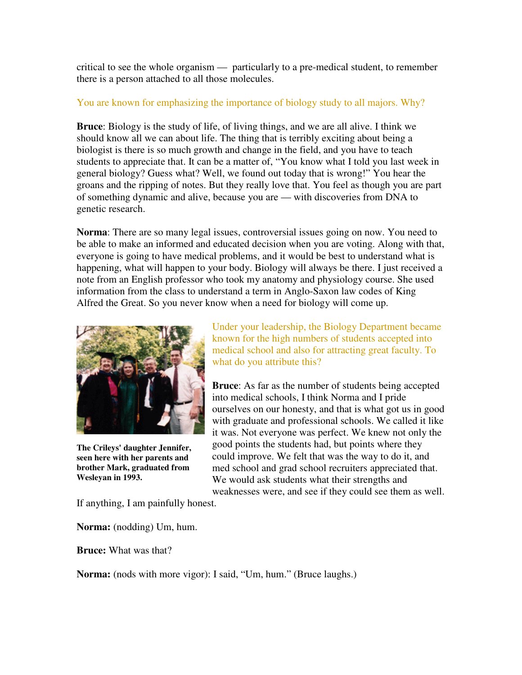critical to see the whole organism — particularly to a pre-medical student, to remember there is a person attached to all those molecules.

# You are known for emphasizing the importance of biology study to all majors. Why?

**Bruce**: Biology is the study of life, of living things, and we are all alive. I think we should know all we can about life. The thing that is terribly exciting about being a biologist is there is so much growth and change in the field, and you have to teach students to appreciate that. It can be a matter of, "You know what I told you last week in general biology? Guess what? Well, we found out today that is wrong!" You hear the groans and the ripping of notes. But they really love that. You feel as though you are part of something dynamic and alive, because you are — with discoveries from DNA to genetic research.

**Norma**: There are so many legal issues, controversial issues going on now. You need to be able to make an informed and educated decision when you are voting. Along with that, everyone is going to have medical problems, and it would be best to understand what is happening, what will happen to your body. Biology will always be there. I just received a note from an English professor who took my anatomy and physiology course. She used information from the class to understand a term in Anglo-Saxon law codes of King Alfred the Great. So you never know when a need for biology will come up.



**The Crileys' daughter Jennifer, seen here with her parents and brother Mark, graduated from Wesleyan in 1993.**

Under your leadership, the Biology Department became known for the high numbers of students accepted into medical school and also for attracting great faculty. To what do you attribute this?

**Bruce**: As far as the number of students being accepted into medical schools, I think Norma and I pride ourselves on our honesty, and that is what got us in good with graduate and professional schools. We called it like it was. Not everyone was perfect. We knew not only the good points the students had, but points where they could improve. We felt that was the way to do it, and med school and grad school recruiters appreciated that. We would ask students what their strengths and weaknesses were, and see if they could see them as well.

If anything, I am painfully honest.

**Norma:** (nodding) Um, hum.

**Bruce:** What was that?

**Norma:** (nods with more vigor): I said, "Um, hum." (Bruce laughs.)